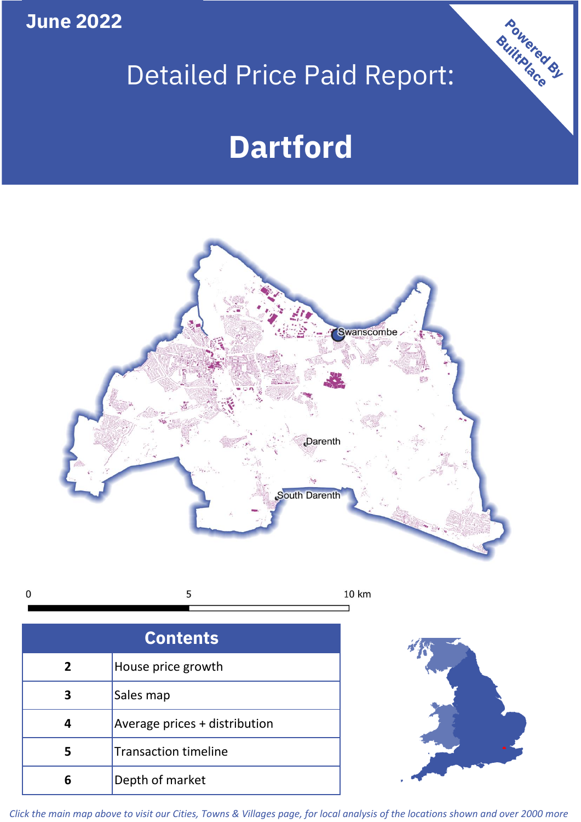**June 2022**

# Detailed Price Paid Report:

# **Dartford**



 $\mathbf 0$ 5 10 km

| <b>Contents</b> |                               |  |  |
|-----------------|-------------------------------|--|--|
| 2               | House price growth            |  |  |
|                 | Sales map                     |  |  |
|                 | Average prices + distribution |  |  |
| 5               | <b>Transaction timeline</b>   |  |  |
| 6               | Depth of market               |  |  |



Powered By

*Click the main map above to visit our Cities, Towns & Villages page, for local analysis of the locations shown and over 2000 more*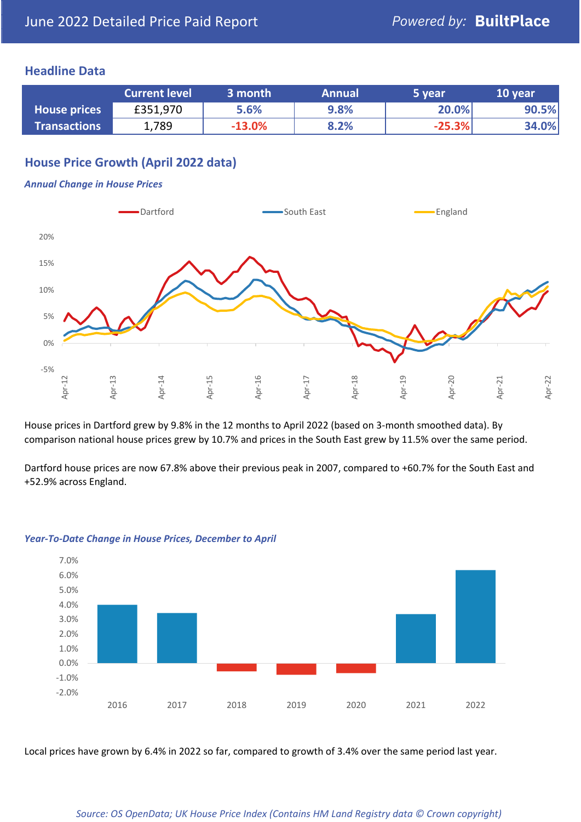#### **Headline Data**

|                     | <b>Current level</b> | 3 month  | <b>Annual</b> | 5 year   | 10 year |
|---------------------|----------------------|----------|---------------|----------|---------|
| <b>House prices</b> | £351,970             | 5.6%     | 9.8%          | 20.0%    | 90.5%   |
| <b>Transactions</b> | 1,789                | $-13.0%$ | 8.2%          | $-25.3%$ | 34.0%   |

# **House Price Growth (April 2022 data)**

#### *Annual Change in House Prices*



House prices in Dartford grew by 9.8% in the 12 months to April 2022 (based on 3-month smoothed data). By comparison national house prices grew by 10.7% and prices in the South East grew by 11.5% over the same period.

Dartford house prices are now 67.8% above their previous peak in 2007, compared to +60.7% for the South East and +52.9% across England.



#### *Year-To-Date Change in House Prices, December to April*

Local prices have grown by 6.4% in 2022 so far, compared to growth of 3.4% over the same period last year.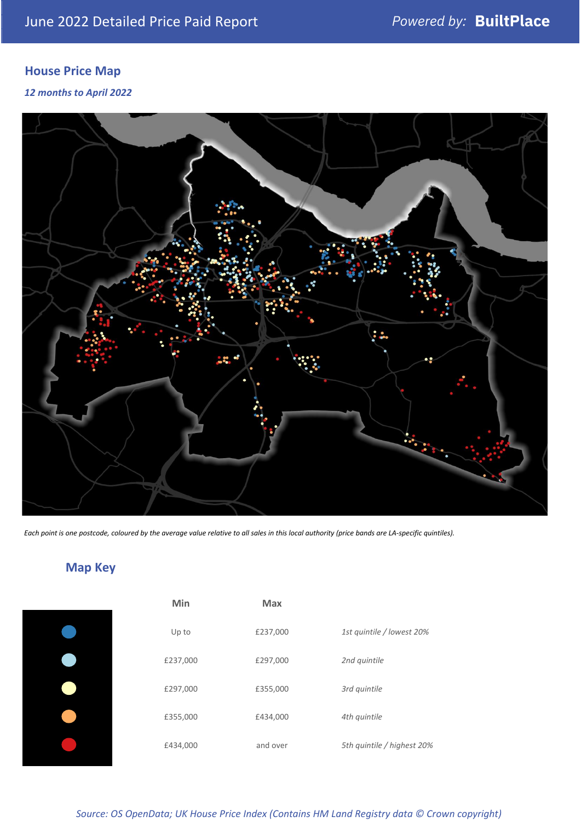# **House Price Map**

*12 months to April 2022*



*Each point is one postcode, coloured by the average value relative to all sales in this local authority (price bands are LA-specific quintiles).*

# **Map Key**

| Min      | <b>Max</b> |                            |
|----------|------------|----------------------------|
| Up to    | £237,000   | 1st quintile / lowest 20%  |
| £237,000 | £297,000   | 2nd quintile               |
| £297,000 | £355,000   | 3rd quintile               |
| £355,000 | £434,000   | 4th quintile               |
| £434,000 | and over   | 5th quintile / highest 20% |

*Source: OS OpenData; UK House Price Index (Contains HM Land Registry data © Crown copyright)*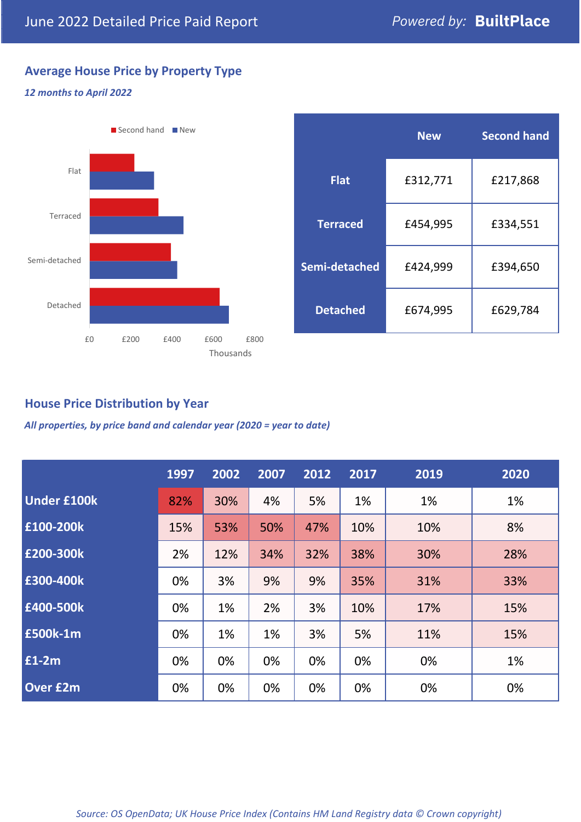# **Average House Price by Property Type**

#### *12 months to April 2022*



|                 | <b>New</b> | <b>Second hand</b> |  |  |
|-----------------|------------|--------------------|--|--|
| <b>Flat</b>     | £312,771   | £217,868           |  |  |
| <b>Terraced</b> | £454,995   | £334,551           |  |  |
| Semi-detached   | £424,999   | £394,650           |  |  |
| <b>Detached</b> | £674,995   | £629,784           |  |  |

## **House Price Distribution by Year**

*All properties, by price band and calendar year (2020 = year to date)*

|                    | 1997 | 2002 | 2007 | 2012 | 2017 | 2019 | 2020 |
|--------------------|------|------|------|------|------|------|------|
| <b>Under £100k</b> | 82%  | 30%  | 4%   | 5%   | 1%   | 1%   | 1%   |
| £100-200k          | 15%  | 53%  | 50%  | 47%  | 10%  | 10%  | 8%   |
| £200-300k          | 2%   | 12%  | 34%  | 32%  | 38%  | 30%  | 28%  |
| £300-400k          | 0%   | 3%   | 9%   | 9%   | 35%  | 31%  | 33%  |
| £400-500k          | 0%   | 1%   | 2%   | 3%   | 10%  | 17%  | 15%  |
| <b>£500k-1m</b>    | 0%   | 1%   | 1%   | 3%   | 5%   | 11%  | 15%  |
| £1-2m              | 0%   | 0%   | 0%   | 0%   | 0%   | 0%   | 1%   |
| <b>Over £2m</b>    | 0%   | 0%   | 0%   | 0%   | 0%   | 0%   | 0%   |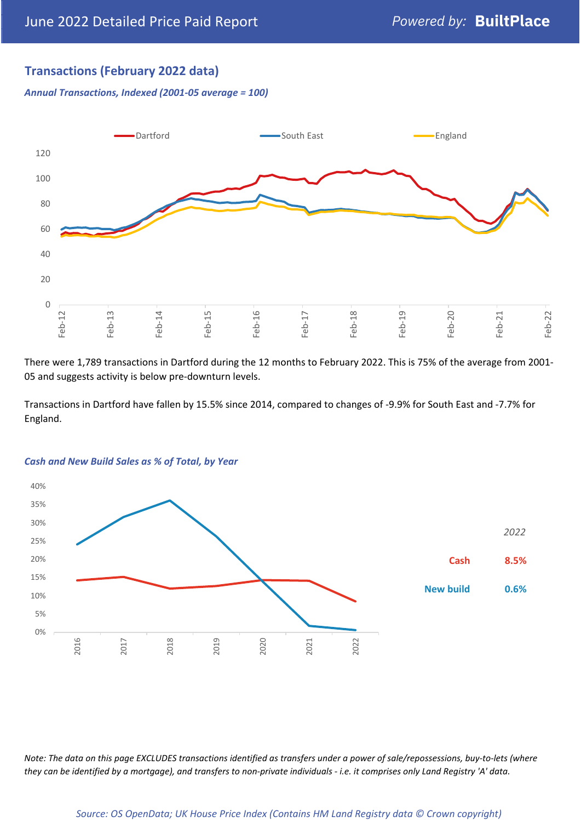### **Transactions (February 2022 data)**

*Annual Transactions, Indexed (2001-05 average = 100)*



There were 1,789 transactions in Dartford during the 12 months to February 2022. This is 75% of the average from 2001- 05 and suggests activity is below pre-downturn levels.

Transactions in Dartford have fallen by 15.5% since 2014, compared to changes of -9.9% for South East and -7.7% for England.



#### *Cash and New Build Sales as % of Total, by Year*

*Note: The data on this page EXCLUDES transactions identified as transfers under a power of sale/repossessions, buy-to-lets (where they can be identified by a mortgage), and transfers to non-private individuals - i.e. it comprises only Land Registry 'A' data.*